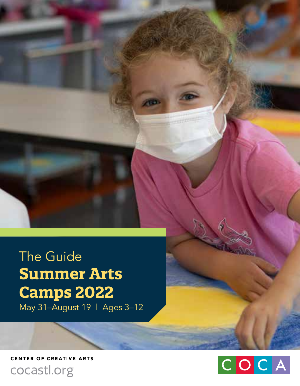The Guide **Summer Arts Camps 2022** May 31–August 19 | Ages 3–12

**CENTER OF CREATIVE ARTS** cocastl.org

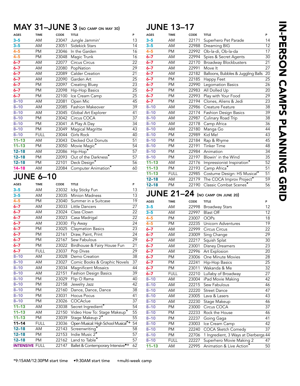#### MAY 31–JUNE 3 (no camp on may 30)

| <b>AGES</b> | <b>TIME</b> | CODE  | <b>TITLE</b>            | P               |
|-------------|-------------|-------|-------------------------|-----------------|
| $3 - 5$     | AM          | 23047 | Jungle Jammin'          | 13              |
| $3 - 5$     | AM          | 23051 | Sidekick Stars          | 14              |
| $4 - 5$     | PM          | 23046 | In the Garden           | 16              |
| $4 - 5$     | PM          | 23048 | Magic Trunk             | 16              |
| $6 - 7$     | AM          | 22077 | Circus Circus           | 22              |
| $6 - 7$     | AM          | 22080 | PopNation               | $\overline{29}$ |
| $6 - 7$     | AM          | 22089 | Calder Creation         | 21              |
| $6 - 7$     | AM          | 22090 | Garden Art              | 25              |
| $6 - 7$     | PM          | 22097 | Creating Bluey          | 23              |
| $6 - 7$     | PM          | 22098 | Hip-Hop Basics          | 25              |
| $6 - 7$     | PM          | 22100 | Ice Cream Camp          | 25              |
| $8 - 10$    | AM          | 22081 | Open Mic                | 45              |
| $8 - 10$    | AM          | 22085 | <b>Fashion Makeover</b> | 39              |
| $8 - 10$    | AM          | 23045 | Global Art Explorer     | 41              |
| $8 - 10$    | PM          | 23042 | Circus COCA             | 37              |
| $8 - 10$    | PM          | 23041 | A Play A Day            | 34              |
| $8 - 10$    | PM          | 23049 | Magical Magritte        | 43              |
| $8 - 10$    | <b>FULL</b> | 23044 | Girls Rock              | 40              |
| $11 - 13$   | AM          | 23043 | Decked Out Donuts       | 51              |
| $11 - 13$   | PM          | 23050 | Movie Magic*            | 54              |
| $12 - 18$   | AM          | 22086 | Hip-Hop*                | 57              |
| $12 - 18$   | PM          | 22093 | Out of the Darkness*    | 57              |
| $12 - 18$   | PM          | 22101 | Deck Design*            | 56              |
| $14 - 18$   | AM          | 22084 | Computer Animation*     | 60              |
|             |             |       |                         |                 |

#### JUNE 6–10

| <b>AGES</b>           | <b>TIME</b> | CODE  | <b>TITLE</b>                                    | P               |
|-----------------------|-------------|-------|-------------------------------------------------|-----------------|
| $3 - 5$               | AM          | 23032 | Icky Sticky Fun                                 | 13              |
| $3 - 5$               | AM          | 23035 | <b>Minion Madness</b>                           | 13              |
| $4 - 5$               | <b>PM</b>   | 23040 | Summer in a Suitcase                            | 19              |
| $6 - 7$               | AM          | 23033 | Little Dancers                                  | 27              |
| $6 - 7$               | AM          | 23024 | Class Clown                                     | 22              |
| $6 - 7$               | AM          | 23023 | Casa Madrigal                                   | $\overline{2}2$ |
| $6 - 7$               | AM          | 23030 | Fly Away                                        | 24              |
| $6 - 7$               | <b>PM</b>   | 23025 | <b>Claymation Basics</b>                        | 23              |
| $6 - 7$               | <b>PM</b>   | 22161 | Draw, Paint, Print                              | 24              |
| $6 - 7$               | <b>PM</b>   | 22167 | Sew Fabulous                                    | 29              |
| $6 - 7$               | <b>PM</b>   | 23022 | Birdhouse & Fairy House Fun                     | 21              |
| $6 - 7$               | <b>FULL</b> | 23037 | Pop Divas                                       | 29              |
| $8 - 10$              | AM          | 23028 | Demo Creation                                   | 38              |
| $8 - 10$              | AM          | 23027 | Comic Books & Graphic Novels                    | 37              |
| $8 - 10$              | AM          | 23034 | <b>Magnificent Mosaics</b>                      | 44              |
| $8 - 10$              | AM          | 22151 | <b>Fashion Design Basics</b>                    | 39              |
| $8 - 10$              | PM          | 23029 | Flip O Rama                                     | 40              |
| $8 - 10$              | PM          | 22158 | Jewelry Jazz                                    | 42              |
| $8 - 10$              | <b>PM</b>   | 22160 | Dance, Dance, Dance                             | 38              |
| $8 - 10$              | PM          | 23031 | <b>Hocus Pocus</b>                              | 41              |
| $8 - 10$              | <b>PM</b>   | 23026 | COCAclue                                        | 37              |
| $11 - 13$             | AM          | 23038 | Secret Ingredient*                              | 54              |
| $11 - 13$             | AM          | 22150 | Video How To: Stage Makeup*                     | $\overline{55}$ |
| $11 - 13$             | <b>PM</b>   | 23039 | Stage Makeup 2*                                 | 55              |
| $11 - 14$             | <b>FULL</b> | 23036 | Open Musical: High School Musical <sup>*+</sup> | $\overline{54}$ |
| $12 - 18$             | AM          | 22143 | Screenwriting*                                  | 58              |
| $12 - 18$             | <b>PM</b>   | 22153 | Indie Music 2*                                  | 57              |
| $12 - 18$             | PM          | 22162 | Land to Table*                                  | 57              |
| <b>INTENSIVE FULL</b> |             | 22147 | Ballet & Contemporary Intensive <sup>*+</sup>   | 62              |
|                       |             |       |                                                 |                 |

| <b>AGES</b> | <b>TIME</b>     | CODE  | <b>TITLE</b>                       | P               |
|-------------|-----------------|-------|------------------------------------|-----------------|
| $3 - 5$     | AM              | 22171 | Superhero Pet Parade               | 14              |
| $3 - 5$     | AM              | 22988 | Dreaming BIG                       | 12              |
| $4 - 5$     | PM              | 22992 | Ob-la-di, Ob-la-da                 | 17              |
| $6 - 7$     | AM              | 22994 | Spies & Secret Agents              | 30              |
| $6 - 7$     | AM              | 22170 | <b>Broadway Blockbusters</b>       | $\overline{21}$ |
| $6 - 7$     | AM              | 22991 | Move It                            | $\overline{27}$ |
| $6 - 7$     | AM              | 22182 | Balloons, Bubbles & Juggling Balls | $\overline{20}$ |
| $6 - 7$     | <b>PM</b>       | 22185 | Happy Feet                         | $\overline{25}$ |
| $6 - 7$     | <b>PM</b>       | 22990 | <b>Legomation Basics</b>           | 26              |
| $6 - 7$     | PM              | 22983 | All Dolled Up                      | $\overline{20}$ |
| $6 - 7$     | PM              | 22993 | Play with Your Food                | 29              |
| $6 - 7$     | <b>PM</b>       | 22194 | Clones, Aliens & Jedi              | 23              |
| $8 - 10$    | AM              | 22986 | Creature Feature                   | 38              |
| $8 - 10$    | AM              | 22174 | Fashion Design Basics              | 39              |
| $8 - 10$    | AM              | 22987 | Culinary Road Trip                 | $\overline{38}$ |
| $8 - 10$    | AM              | 22178 | Camp Africa                        | $\overline{36}$ |
| $8 - 10$    | AM              | 22180 | Manga Go                           | 44              |
| $8 - 10$    | PM              | 22989 | Kid Me!                            | $\overline{43}$ |
| $8 - 10$    | <b>PM</b>       | 22184 | Rap & Rhyme                        | 45              |
| $8 - 10$    | PM              | 22191 | <b>Tinker Time</b>                 | 48              |
| $8 - 10$    | PM              | 22984 | Animation                          | 34              |
| $8 - 10$    | PM              | 22197 | Blowin' in the Wind                | 35              |
| $11 - 13$   | AM              | 22176 | Impressionist Inspiration*         | 52              |
| $11 - 13$   | PM              | 22193 | Camp Africa*                       | 51              |
| $11 - 13$   | <b>FULL</b>     | 22985 | Costume Design: HS Musical*        | 51              |
| $12 - 18$   | AM              | 22179 | The COCA Improv Project*           | 59              |
| $12 - 18$   | $\overline{PM}$ | 22190 | Classic Combat Scenes*             | 56              |
|             |                 |       | JUNE 21-24 (NO CAMP ON JUNE 20)    |                 |
| <b>AGES</b> | <b>TIME</b>     | CODE  | <b>TITLE</b>                       | P               |
| $3 - 5$     | AM              | 22998 | <b>Broadway Stars</b>              | 12              |
| $3 - 5$     | AM              | 22997 | <b>Blast Off</b>                   | $\overline{12}$ |
| $4 - 5$     | <b>PM</b>       | 23007 | <b>OOPs</b>                        | 18              |
| $4 - 5$     | PM              | 22235 | Unicorn Adventures                 | 19              |
| $6 - 7$     | AM              | 22999 | Circus Circus                      | 22              |
| 6–7         | AM              | 23009 | Sing Change                        | 29              |
| $6 - 7$     | AM              | 22217 | Squish Splat                       | 30              |
| $6 - 7$     | AM              | 23001 | Disney Dreamers                    | 23              |
| $6 - 7$     | AM              | 22996 | Art Explosion                      | 20              |
| $6 - 7$     | PM              | 23006 | One Minute Movies                  | $\overline{28}$ |
| $6 - 7$     | PM              | 22241 | Hip-Hop Basics                     | 25              |
| $6 - 7$     | PM              | 23011 | Wakanda & Me                       | $\overline{32}$ |
| $6 - 7$     | <b>FULL</b>     | 22210 | Lullaby of Broadway                | 27              |
| $8 - 10$    | AM              | 23004 | iPad Movie Making                  | 42              |
| $8 - 10$    | AM              | 22215 | Sew Fabulous                       | 46              |
| $8 - 10$    | AM              | 22220 | <b>Street Dance</b>                | 47              |
| $8 - 10$    | AM              | 23005 | Lava & Lasers                      | 43              |
| $8 - 10$    | AM              | 22230 | Stage Makeup                       | 46              |
| $8 - 10$    | PM              | 23000 | Circus COCA                        | $\overline{37}$ |
| $8 - 10$    | PM              | 22233 | Rock the House                     | 46              |
| $8 - 10$    | PM              | 22237 | Going Gaga                         | 41              |
| $8 - 10$    | <b>PM</b>       | 23003 | Ice Cream Camp                     | 42              |

8-10 PM 22240 COCA Sketch Comedy 37 8–10 PM 22706 1 Ingredient, 3 Ways at Dierbergs 44<br>8–10 FULL 22227 Superhero Movie Making 2 47 8-10 FULL 22227 Superhero Movie Making 2 47<br>11-13 AM 22995 Animation & Live Action\* 50 AM 22995 Animation & Live Action<sup>\*</sup>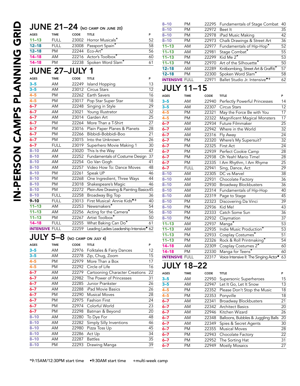|                       |             |       | <b>JUNE 21-24</b> (NO CAMP ON JUNE 20)              |                 |
|-----------------------|-------------|-------|-----------------------------------------------------|-----------------|
| <b>AGES</b>           | <b>TIME</b> | CODE  | <b>TITLE</b>                                        | P               |
| $11 - 13$             | <b>FULL</b> | 23002 | Horror Musicals*                                    | 52              |
| $12 - 18$             | <b>FULL</b> | 23008 | Passport Spain*                                     | 58              |
| $12 - 18$             | PM          | 22244 | Eco-Art*                                            | 56              |
| $14 - 18$             | AM          | 22216 | Actor's Toolbox*                                    | 60              |
| $14 - 18$             | PM          | 22238 | Spoken Word Slam <sup>*</sup>                       | 61              |
| <b>JUNE 27-JULY</b>   |             |       | 1                                                   |                 |
|                       |             |       |                                                     |                 |
| <b>AGES</b>           | <b>TIME</b> | CODE  | <b>TITLE</b>                                        | P               |
| $3 - 5$               | AM          | 22249 | Island Hopping                                      | 13              |
| $3 - 5$               | AM          | 23012 | Circus Stars                                        | 12              |
| $4 - 5$               | PM          | 22262 | Earth Savers                                        | 16              |
| $4 - 5$               | PM          | 23017 | Pop Star Super Star                                 | 18              |
| $6 - 7$               | AM          | 22248 | Singing in Style                                    | 29              |
| $6 - 7$               | AM          | 23021 | Young Illustrator                                   | 32              |
| $6 - 7$               | AM          | 23014 | Garden Art                                          | $\overline{25}$ |
| $6 - 7$               | PM          | 22264 | More Than a T-Shirt                                 | 27              |
| $6 - 7$               | PM          | 23016 | Plain Paper Planes & Planets                        | 28              |
| $6 - 7$               | PM          | 22266 | Bibbidi-Bobbidi-Boo                                 | 21              |
| $6 - 7$               | PM          | 23015 | Into the Unknown                                    | 26              |
| $6 - 7$               | <b>FULL</b> | 23019 | Superhero Movie Making 1                            | 30              |
| $8 - 10$              | AM          | 23020 | This Is the Way                                     | 47              |
| $8 - 10$              | AM          | 22252 | Fundamentals of Costume Design                      | $\overline{37}$ |
| $8 - 10$              | AM          | 22254 | Go Van Gogh                                         | 41              |
| $8 - 10$              | AM          | 22257 | Video How To: Dance Moves                           | 48              |
| $8 - 10$              | <b>PM</b>   | 22261 | Speak UP                                            | 46              |
| $8 - 10$              | PM          | 22268 | One Ingredient, Three Ways                          | 44              |
| $8 - 10$              | <b>PM</b>   | 23018 | Shakespeare's Magic                                 | 46              |
| $8 - 10$              | <b>PM</b>   | 22272 | Plein-Aire Drawing & Painting Basics45              |                 |
| $8 - 10$              | <b>FULL</b> | 22258 | Broadway Big Top                                    | 36              |
| $9 - 10$              | <b>FULL</b> | 23013 | First Musical: Annie Kids <sup>•+</sup>             | 40              |
| $11 - 13$             | AM          | 22253 | $N$ ewsmakers*                                      | 54              |
| $11 - 13$             | AM          | 22256 | Acting for the Camera*                              | 56              |
| $11 - 13$             | PM          | 22267 | Artist Toolbox <sup>*</sup>                         | 50              |
| $14 - 18$             | <b>FULL</b> | 22255 | What Baking Can Do*                                 | 61              |
| <b>INTENSIVE FULL</b> |             | 22259 | Leading Ladies Leadership Intensive <sup>®</sup> 62 |                 |
| JULY 5–8              |             |       | (NO CAMP ON JULY 4)                                 |                 |
| <b>AGES</b>           | <b>TIME</b> | CODE  | <b>TITLE</b>                                        | P               |
| $3 - 5$               | AM          | 22976 | Folktales & Fairy Dances                            | 12              |
| $3 - 5$               | AM          | 22278 | Zip, Chug, Zoom                                     | 15              |
| $4 - 5$               | PM          | 22979 | More Than a Box                                     | 17              |
| $4 - 5$               | PM          | 22292 | Circle of Life                                      | 16              |
| $6 - 7$               | AM          | 22279 | <b>Cartooning Character Creations</b>               | 22              |
| $6 - 7$               | AM          | 22982 | The Power of Princesses                             | $\overline{31}$ |
| $6 - 7$               | AM          | 22285 | Junior Prankster                                    | 26              |
| $6 - 7$               | AM          | 22288 | iPad Movie Basics                                   | 26              |
| $6 - 7$               | <b>PM</b>   | 22290 | <b>Musical Moves</b>                                | 28              |
| 6–7                   | <b>PM</b>   | 22975 | <b>Fashion First</b>                                | 24              |
| $6 - 7$               | PM          | 22974 | Colorful World                                      | 23              |
| $6 - 7$               | <b>PM</b>   | 22298 | Batman & Beyond                                     | 20              |
| $8 - 10$              | AM          | 22280 | To Dye For                                          | 48              |

| $8 - 10$              | <b>PM</b>   | 22295 | <b>Fundamentals of Stage Combat</b>       | 40 |
|-----------------------|-------------|-------|-------------------------------------------|----|
| $8 - 10$              | <b>PM</b>   | 22972 | Beet It                                   | 35 |
| $8 - 10$              | PM          | 22978 | iPad Music Making                         | 42 |
| $8 - 10$              | PM          | 22973 | Chalk Drawings & Street Art               | 36 |
| $11 - 13$             | AM          | 22977 | Fundamentals of Hip-Hop*                  | 52 |
| $11 - 13$             | AM          | 22981 | Stage Combat*                             | 55 |
| $11 - 13$             | <b>PM</b>   | 22299 | Kid Me $2^*$                              | 53 |
| $11 - 13$             | <b>PM</b>   | 22970 | Art of the Silhouette'                    | 50 |
| $12 - 18$             | AM          | 22289 | Knitbombing, Street Art & Graffiti*       | 57 |
| $12 - 18$             | PM          | 22300 | Spoken Word Slam*                         | 58 |
| <b>INTENSIVE FULL</b> |             | 22971 | Ballet Studio Jr. Intensive <sup>*+</sup> | 62 |
| <b>JULY 11-15</b>     |             |       |                                           |    |
| <b>AGES</b>           | <b>TIME</b> | CODE  | TITLE                                     | P  |
|                       |             |       |                                           |    |

| <b>AGES</b>           | <b>TIME</b> | CODE  | <b>TITLE</b>                                       | P               |
|-----------------------|-------------|-------|----------------------------------------------------|-----------------|
| $3 - 5$               | AM          | 22940 | Perfectly Powerful Princesses                      | 14              |
| $3 - 5$               | AM          | 22307 | <b>Circus Stars</b>                                | 12              |
| $4 - 5$               | <b>PM</b>   | 22321 | May the Force Be with You                          | 17              |
| $4 - 5$               | <b>PM</b>   | 22322 | <b>Magnificent Magical Monsters</b>                | 17              |
| $6 - 7$               | AM          | 22934 | Future Filmmaker                                   | 25              |
| $rac{6-7}{6-7}$       | AM          | 22942 | Where in the World                                 | 32              |
|                       | AM          | 22316 | Fly Away                                           | 24              |
| $6 - 7$               | <b>PM</b>   | 22320 | Where's My Supersuit?                              | $\overline{32}$ |
| $6 - 7$               | <b>PM</b>   | 22325 | First Act                                          | 24              |
| $6 - 7$               | <b>PM</b>   | 22939 | Perfect Cookie Camp                                | 28              |
| $6 - 7$               | <b>PM</b>   | 22938 | Oh Yeah! Mario Time!                               | 28              |
| $6 - 7$               | <b>PM</b>   | 22335 | I Am Rhythm, I Am Rhyme                            | 25              |
| $6 - 7$               | <b>FULL</b> | 22941 | Sing, Dance, Act                                   | 29              |
| $8 - 10$              | AM          | 22305 | DC vs Marvel                                       | 38              |
| $8 - 10$              | AM          | 22931 | Chocolate Factory                                  | 36              |
| $8 - 10$              | AM          | 22930 | <b>Broadway Blockbusters</b>                       | 36              |
| $8 - 10$              | AM          | 22314 | Fundamentals of Hip-Hop                            | 40              |
| $8 - 10$              | AM          | 22319 | Page to Stage                                      | 45              |
| $8 - 10$              | <b>PM</b>   | 22323 | Discovering Da Vinci                               | 39              |
| $8 - 10$              | <b>PM</b>   | 22936 | Kid Me!                                            | 43              |
| $8 - 10$              | PM          | 22333 | Catch Some Sun                                     | $\overline{36}$ |
| $8 - 10$              | <b>PM</b>   | 22932 | Claymation                                         | 37              |
| $11 - 13$             | AM          | 22937 | Manga <sup>*</sup>                                 | $\overline{53}$ |
| $11 - 13$             | AM          | 22935 | Indie Music Production*                            | 53              |
| $11 - 13$             | <b>PM</b>   | 22933 | Cosplay Costumes*                                  | 51              |
| $11 - 13$             | <b>PM</b>   | 22326 | Rock & Roll Printmaking*                           | 54              |
| $14 - 18$             | AM          | 22309 | Cosplay Costumes 2 <sup>*</sup>                    | 60              |
| $14 - 18$             | <b>PM</b>   | 22330 | Manga for Teens*                                   | 60              |
| <b>INTENSIVE FULL</b> |             | 22317 | Voice Intensive II: The Singing Actor <sup>®</sup> | 63              |

### JULY 18–22

| <b>AGES</b> | TIME | CODE  | TITLE                              | P  |
|-------------|------|-------|------------------------------------|----|
| $3 - 5$     | AM   | 22950 | Supersonic Superheroes             | 15 |
| $3 - 5$     | AM   | 22947 | Let It Go, Let It Snow             | 13 |
| $4 - 5$     | PM   | 22352 | Please Don't Stop the Music        | 18 |
| $4 - 5$     | PM   | 22353 | Ponyville                          | 18 |
| $6 - 7$     | AM   | 22341 | Broadway Blockbusters              | 21 |
| $6 - 7$     | AM   | 22342 | <b>Architect Basics</b>            | 20 |
| $6 - 7$     | AM   | 22946 | Kitchen Wizard                     | 26 |
| $6 - 7$     | AM   | 22348 | Balloons, Bubbles & Juggling Balls | 20 |
| $6 - 7$     | AM   | 22349 | Spies & Secret Agents              | 30 |
| $6 - 7$     | PM   | 22355 | <b>Musical Moves</b>               | 28 |
| $6 - 7$     | PM   | 22943 | Chocolate Factory                  | 22 |
| $6 - 7$     | PM   | 22952 | The Sorting Hat                    | 31 |
| $6 - 7$     | PM   | 22949 | <b>Mostly Mosaics</b>              | 27 |

8–10 AM 22282 Simply Silly Inventions 46<br>12980 Pizza Toss Up 45

**8–10** AM 22287 Battles 35 8–10 AM 22287 Battles 35<br>8–10 PM 22293 Drawing Manga 39

8-10 AM 22286 Act Up<br>8-10 AM 22287 Battles

8–10 AM 22980 Pizza Toss Up 45<br>8–10 AM 22286 Act Up 34

8–10 AM 22280 To Dye For 48<br>8–10 AM 22282 Simply Silly Inventions 46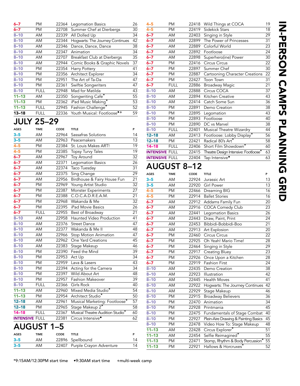| 6–7                   | PM                | 22364 | Legomation Basics                      | 26              |
|-----------------------|-------------------|-------|----------------------------------------|-----------------|
| $6 - 7$               | PM                | 22708 | Summer Chef at Dierbergs               | 30              |
| $8 - 10$              | AM                | 22339 | All Dolled Up                          | 34              |
| $8 - 10$              | AM                | 22344 | Hogwarts: The Journey Continues        | 42              |
| $8 - 10$              | AM                | 22346 | Dance, Dance, Dance                    | 38              |
| $8 - 10$              | AM                | 22347 | Animation                              | 34              |
| $8 - 10$              | AM                | 22707 | Breakfast Club at Dierbergs            | 35              |
| $8 - 10$              | AM                | 22944 | Comic Books & Graphic Novels           | 37              |
| $8 - 10$              | PM                | 22354 | Harry Pottery                          | 41              |
| $8 - 10$              | PM                | 22356 | Architect Explorer                     | 34              |
| $8 - 10$              | PM                | 22951 | The Art of Ta-Da                       | 47              |
| $8 - 10$              | PМ                | 22361 | Swiftie Songwriters                    | 47              |
| $8 - 10$              | <b>FULL</b>       | 22948 | Mad for Matilda                        | 43              |
| $11 - 13$             | AM                | 22350 | Songwriting Cafe <sup>*</sup>          | $\overline{55}$ |
| $11 - 13$             | PM                | 22362 | iPad Music Making*                     | 53              |
| $11 - 13$             | <b>FULL</b>       | 22945 | Fashion Challenge <sup>*</sup>         | 52              |
| $13 - 18$             | <b>FULL</b>       | 22336 | Youth Musical: Footloose <sup>®+</sup> | 59              |
|                       |                   |       |                                        |                 |
|                       | <b>JULY 25–29</b> |       |                                        |                 |
| <b>AGES</b>           | <b>TIME</b>       | CODE  | <b>TITLE</b>                           | P               |
| $3 - 5$               | AM                | 22964 | Sassafras Solutions                    | 14              |
| -5<br>3.              | AM                | 22963 | Peacemakers                            | 13              |
| $4 - 5$               | PM                | 22384 | St. Louis Makes ART!                   | 19              |
| $4 - 5$               | PM                | 22385 | Topsy Turvy Tales                      | 19              |
| $6 - 7$               | AM                | 22967 | Toy Around                             | $\overline{32}$ |
| $6 - 7$               | AM                | 22371 | <b>Legomation Basics</b>               | 26              |
| $6 - 7$               | AM                | 22374 | Taco Tuesday                           | 31              |
| $6 - 7$               | AM                | 22375 | Sing Change                            | 29              |
| $6 - 7$               | AM                | 22956 | Birdhouse & Fairy House Fun            | $\overline{21}$ |
| $6 - 7$               | PM                | 22969 | Young Artist Studio                    | 32              |
| $6 - 7$               | PM                | 22387 | Monster Experiments                    | 27              |
| $6 - 7$               | PM                | 22388 | C.O.C.A.D.R.E.A.M.                     | 21              |
| $6 - 7$               | PM                | 22968 | Wakanda & Me                           | 32              |
| $6 - 7$               | PM                | 22395 | iPad Movie Basics                      | 26              |
| $6 - 7$               | <b>FULL</b>       | 22955 | Best of Broadway                       | 21              |
| $8 - 10$              | AM                | 22958 | Haunted Video Production               | 41              |
| $8 - 10$              | AM                | 22376 | <b>Street Dance</b>                    | 47              |
| $8 - 10$              | AM                | 22377 | Wakanda & Me II                        | 48              |
| $8 - 10$              | AM                | 22966 | Stop Motion Animation                  | 47              |
| $8 - 10$              | AM                | 22962 | One Yard Creations                     | 45              |
| $8 - 10$              | AM                | 22383 | Stage Makeup                           | 46              |
| $8 - 10$              | PM                | 22390 | Feed the Mind                          | 39              |
| $8 - 10$              | PM                | 22953 | Act Up                                 | 34              |
| $8 - 10$              | PM                | 22959 | Lava & Lasers                          | 43              |
| $8 - 10$              | PM                | 22394 | Acting for the Camera                  | 34              |
| $8 - 10$              | PM                | 22397 | Wild About Art                         | 48              |
| $8 - 10$              | PM                | 22957 | Fashion Makeover                       | 39              |
| $8 - 10$              | <b>FULL</b>       | 22366 | Girls Rock                             | 40              |
| $11 - 13$             | AM                | 22960 | Mixed Media Studio*                    | 54              |
| $11 - 13$             | PM                | 22954 | Architect Studio*                      | 50              |
| $12 - 18$             | AM                | 22961 | Musical Marketing: Footloose*          | 57              |
| $12 - 18$             | PM                | 22965 | Stage Makeup 2*                        | 58              |
| $14 - 18$             | <b>FULL</b>       | 22367 | Musical Theatre Audition Studio*       | 60              |
| <b>INTENSIVE FULL</b> |                   | 22381 | Circus Intensive <sup>®</sup>          | 62              |
|                       |                   |       |                                        |                 |
| A I ICI ICT           | 4                 | Е     |                                        |                 |

| <b>AUGUST 1–5</b> |             |      |                               |    |  |  |
|-------------------|-------------|------|-------------------------------|----|--|--|
| <b>AGES</b>       | <b>TIME</b> | CODE | TITLE                         | P  |  |  |
| $3 - 5$           | AM          |      | 22896 Spellbound              | 14 |  |  |
| $3 - 5$           | AМ          |      | 22407 Purple Crayon Adventure | 14 |  |  |
|                   |             |      |                               |    |  |  |

| 4–5                   | РM          | 22418 | Wild Things at COCA                  | 19              |
|-----------------------|-------------|-------|--------------------------------------|-----------------|
| $4 - 5$               | <b>PM</b>   | 22419 | Sidekick Stars                       | 18              |
| $6 - 7$               | AM          | 22403 | Singing in Style                     | 29              |
| $6 - 7$               | AM          | 22899 | The Power of Princesses              | 31              |
| $6 - 7$               | AM          | 22889 | Colorful World                       | $\overline{23}$ |
| $6 - 7$               | AM          | 22892 | Footloose                            | 24              |
| $6 - 7$               | AM          | 22898 | Superhero(ine) Power                 | 30              |
| $6 - 7$               | <b>PM</b>   | 22416 | Circus Circus                        | 22              |
| $6 - 7$               | PM          | 22897 | Summer Chef                          | $\overline{30}$ |
| $6 - 7$               | <b>PM</b>   | 22887 | Cartooning Character Creations       | $\overline{22}$ |
| $6 - 7$               | <b>PM</b>   | 22427 | <b>Toon Town</b>                     | 31              |
| $6 - 7$               | <b>FULL</b> | 22886 | <b>Broadway Magic</b>                | $\overline{21}$ |
| $8 - 10$              | AM          | 22888 | Circus COCA                          | 37              |
| $8 - 10$              | AM          | 22894 | Kitchen Creative                     | $\overline{43}$ |
| $8 - 10$              | AM          | 22414 | Catch Some Sun                       | 36              |
| $8 - 10$              | <b>PM</b>   | 22891 | Demo Creation                        | 38              |
| $8 - 10$              | <b>PM</b>   | 22895 | Legomation                           | 43              |
| $8 - 10$              | PM          | 22893 | Footloose                            | 40              |
| $8 - 10$              | <b>PM</b>   | 22890 | DC vs Marvel                         | 38              |
| $8 - 10$              | <b>FULL</b> | 22401 | Musical Theatre Wizardry             | 44              |
| $12 - 18$             | AM          | 22413 | Footloose: Lobby Display*            | 56              |
| $12 - 18$             | PM          | 22421 | Radical 80's Art*                    | 58              |
| $14 - 18$             | <b>FULL</b> | 22406 | Short Film Showdown*                 | 60              |
| <b>INTENSIVE FULL</b> |             | 22415 | Theatre Design Intensive: Footloose* | 63              |
| <b>INTENSIVE FULL</b> |             | 22404 | Tap Intensive <sup>•</sup>           | 63              |
|                       |             |       |                                      |                 |

# AUGUST 8–12

| <b>AGES</b> | TIME      | CODE  | <b>TITLE</b>                         | P               |
|-------------|-----------|-------|--------------------------------------|-----------------|
| $3 - 5$     | AM        | 22924 | Jurassic Art                         | 13              |
| $3 - 5$     | AM        | 22920 | <b>Girl Power</b>                    | 13              |
| $4 - 5$     | <b>PM</b> | 22466 | Dreaming BIG                         | 16              |
| $4 - 5$     | <b>PM</b> | 22914 | <b>Ballet Stories</b>                | 16              |
| $6 - 7$     | AM        | 22912 | Addams Family Fun                    | 20              |
| $6 - 7$     | AM        | 22916 | COCA Comedy Club                     | 23              |
| $6 - 7$     | AM        | 22441 | <b>Legomation Basics</b>             | 26              |
| $6 - 7$     | AM        | 22443 | Draw, Paint, Print                   | 24              |
| $6 - 7$     | AM        | 22453 | Bibbidi-Bobbidi-Boo                  | $\overline{21}$ |
| $6 - 7$     | AM        | 22913 | Art Explosion                        | 20              |
| $6 - 7$     | PM        | 22460 | Circus Circus                        | 22              |
| $6 - 7$     | PM        | 22925 | Oh Yeah! Mario Time!                 | 28              |
| $6 - 7$     | <b>PM</b> | 22464 | Singing in Style                     | 29              |
| $6 - 7$     | PM        | 22917 | Creating Bluey                       | 23              |
| $6 - 7$     | PM        | 22926 | Once Upon a Kitchen                  | 28              |
| $6 - 7$     | <b>PM</b> | 22919 | <b>Fashion First</b>                 | 24              |
| $8 - 10$    | AM        | 22435 | Demo Creation                        | 38              |
| $8 - 10$    | AM        | 22923 | Illustration                         | 42              |
| $8 - 10$    | AM        | 22445 | <b>Health Moves</b>                  | 41              |
| $8 - 10$    | AM        | 22922 | Hogwarts: The Journey Continues      | 42              |
| $8 - 10$    | AM        | 22929 | Stage Makeup                         | 46              |
| $8 - 10$    | PM        | 22915 | <b>Broadway Believers</b>            | 36              |
| $8 - 10$    | <b>PM</b> | 22470 | Animation                            | 34              |
| $8 - 10$    | <b>PM</b> | 22928 | Printmania                           | 45              |
| $8 - 10$    | <b>PM</b> | 22475 | Fundamentals of Stage Combat         | 40              |
| $8 - 10$    | <b>PM</b> | 22927 | Plein-Aire Drawing & Painting Basics | 45              |
| $8 - 10$    | <b>PM</b> | 22478 | Video How To: Stage Makeup           | 48              |
| $11 - 13$   | AM        | 22428 | Circus Explorer*                     | 51              |
| $11 - 13$   | AM        | 22454 | Selfie Reimagined*                   | 55              |
| $11 - 13$   | PM        | 22471 | Stomp, Rhythm & Body Percussion*     | $\overline{55}$ |
| $11 - 13$   | <b>PM</b> | 22921 | Hallows & Horcruxes*                 | 52              |
|             |           |       |                                      |                 |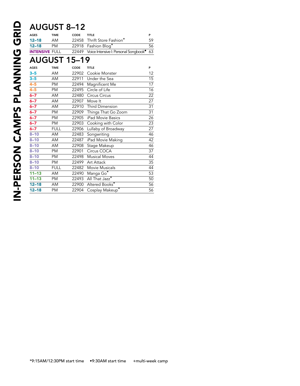# AUGUST 8–12

| $\check{ }$           | ---         |                     |                                                   |                 |
|-----------------------|-------------|---------------------|---------------------------------------------------|-----------------|
| <b>AGES</b>           | <b>TIME</b> | CODE                | <b>TITLE</b>                                      | P               |
| $12 - 18$             | AM          | 22458               | Thrift Store Fashion*                             | 59              |
| $12 - 18$             | <b>PM</b>   | 22918               | Fashion Blog <sup>*</sup>                         | 56              |
| <b>INTENSIVE FULL</b> |             | 22449               | Voice Intensive I: Personal Songbook <sup>®</sup> | 63              |
|                       |             | <b>AUGUST 15-19</b> |                                                   |                 |
| <b>AGES</b>           | <b>TIME</b> | CODE                | <b>TITLE</b>                                      | P               |
| $3 - 5$               | AM          | 22902               | Cookie Monster                                    | 12              |
| $3 - 5$               | AM          | 22911               | Under the Sea                                     | $\overline{15}$ |
| $4 - 5$               | PM          | 22494               | Magnificent Me                                    | 17              |
| $4 - 5$               | PM          | 22495               | Circle of Life                                    | $\overline{16}$ |
| $6 - 7$               | AM          | 22480               | Circus Circus                                     | $\overline{22}$ |
| $6 - 7$               | AM          | 22907               | Move It                                           | $\overline{27}$ |
| $6 - 7$               | AM          | 22910               | Third Dimension                                   | 31              |
| $6 - 7$               | PM          | 22909               | Things That Go Zoom                               | 31              |
| $6 - 7$               | PM          | 22905               | iPad Movie Basics                                 | $\overline{26}$ |
| $6 - 7$               | <b>PM</b>   | 22903               | Cooking with Color                                | 23              |
| $6 - 7$               | <b>FULL</b> | 22906               | Lullaby of Broadway                               | $\overline{27}$ |
| $8 - 10$              | AM          | 22483               | Songwriting                                       | 46              |
| $8 - 10$              | AM          | 22487               | iPad Movie Making                                 | 42              |
| $8 - 10$              | AM          | 22908               | Stage Makeup                                      | 46              |
| $8 - 10$              | PM          | 22901               | Circus COCA                                       | $\overline{37}$ |
| $8 - 10$              | PM          | 22498               | <b>Musical Moves</b>                              | 44              |
| $8 - 10$              | <b>PM</b>   | 22499               | Art Attack                                        | 35              |
| $8 - 10$              | <b>FULL</b> | 22482               | Movie Musicals                                    | 44              |
| $11 - 13$             | AM          | 22490               | Manga Go*                                         | 53              |
| $11 - 13$             | <b>PM</b>   | 22493               | All That Jazz*                                    | $\overline{50}$ |
| $12 - 18$             | AM          | 22900               | Altered Books*                                    | 56              |
| $12 - 18$             | PM          | 22904               | Cosplay Makeup*                                   | 56              |